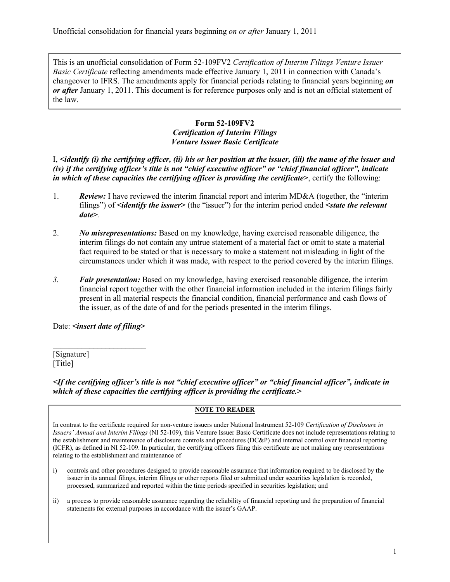This is an unofficial consolidation of Form 52-109FV2 *Certification of Interim Filings Venture Issuer Basic Certificate* reflecting amendments made effective January 1, 2011 in connection with Canada's changeover to IFRS. The amendments apply for financial periods relating to financial years beginning *on or after* January 1, 2011. This document is for reference purposes only and is not an official statement of the law.

## **Form 52-109FV2** *Certification of Interim Filings Venture Issuer Basic Certificate*

I, **<***identify (i) the certifying officer, (ii) his or her position at the issuer, (iii) the name of the issuer and (iv) if the certifying officer's title is not "chief executive officer" or "chief financial officer", indicate in which of these capacities the certifying officer is providing the certificate***>**, certify the following:

- 1. *Review:* I have reviewed the interim financial report and interim MD&A (together, the "interim filings") of **<***identify the issuer***>** (the "issuer") for the interim period ended **<***state the relevant date***>**.
- 2. *No misrepresentations:* Based on my knowledge, having exercised reasonable diligence, the interim filings do not contain any untrue statement of a material fact or omit to state a material fact required to be stated or that is necessary to make a statement not misleading in light of the circumstances under which it was made, with respect to the period covered by the interim filings.
- *3. Fair presentation:* Based on my knowledge, having exercised reasonable diligence, the interim financial report together with the other financial information included in the interim filings fairly present in all material respects the financial condition, financial performance and cash flows of the issuer, as of the date of and for the periods presented in the interim filings.

Date: **<***insert date of filing***>**

 $\mathcal{L}_\text{max}$  , where  $\mathcal{L}_\text{max}$ 

[Signature] [Title]

*<If the certifying officer's title is not "chief executive officer" or "chief financial officer", indicate in which of these capacities the certifying officer is providing the certificate.>* 

## **NOTE TO READER**

In contrast to the certificate required for non-venture issuers under National Instrument 52-109 *Certification of Disclosure in Issuers' Annual and Interim Filings* (NI 52-109), this Venture Issuer Basic Certificate does not include representations relating to the establishment and maintenance of disclosure controls and procedures (DC&P) and internal control over financial reporting (ICFR), as defined in NI 52-109. In particular, the certifying officers filing this certificate are not making any representations relating to the establishment and maintenance of

- i) controls and other procedures designed to provide reasonable assurance that information required to be disclosed by the issuer in its annual filings, interim filings or other reports filed or submitted under securities legislation is recorded, processed, summarized and reported within the time periods specified in securities legislation; and
- ii) a process to provide reasonable assurance regarding the reliability of financial reporting and the preparation of financial statements for external purposes in accordance with the issuer's GAAP.